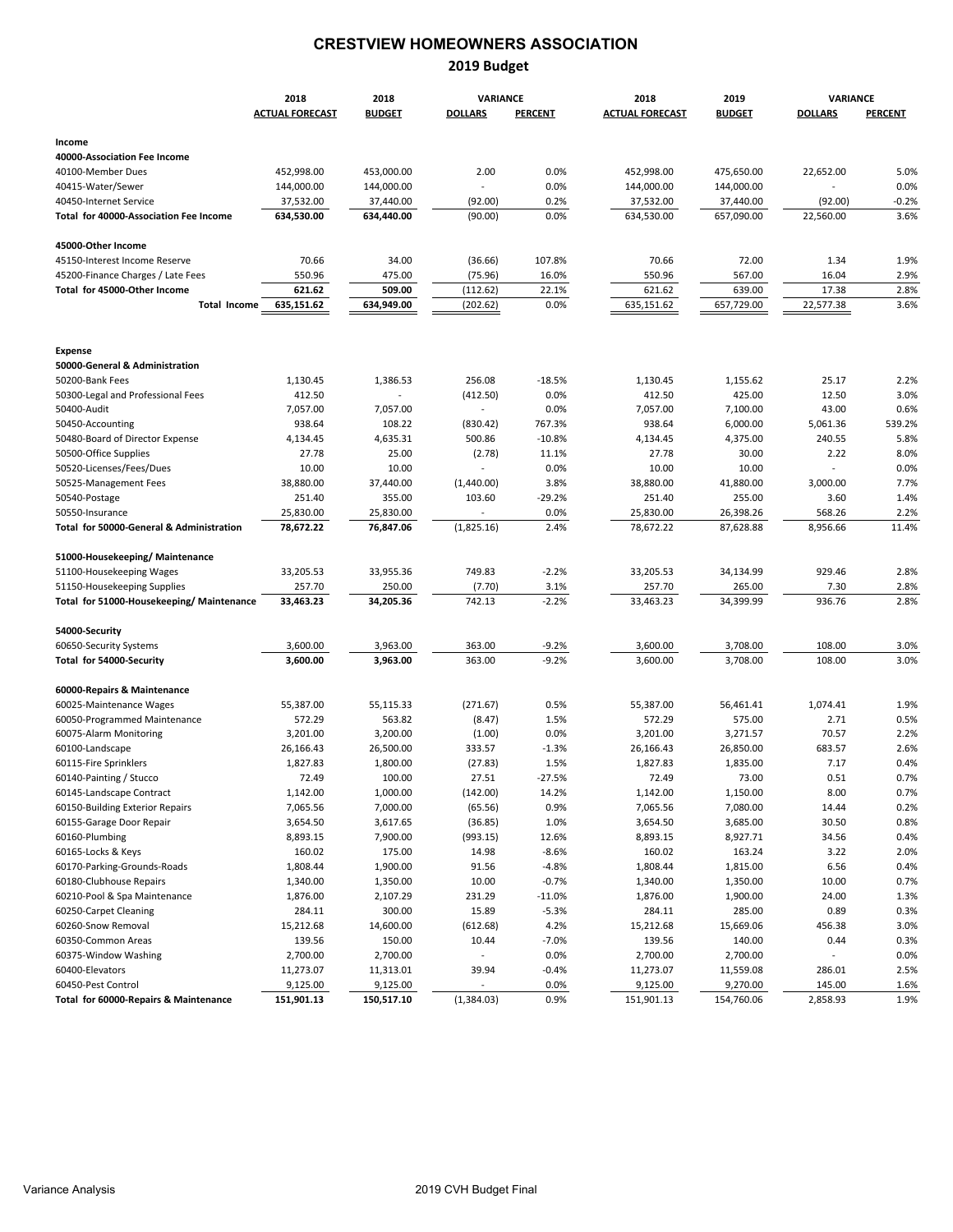# **CRESTVIEW HOMEOWNERS ASSOCIATION**

#### **2019 Budget**

|                                          | 2018                   | 2018                     | <b>VARIANCE</b>          |                    | 2018                   | 2019                 | VARIANCE                 |                |  |
|------------------------------------------|------------------------|--------------------------|--------------------------|--------------------|------------------------|----------------------|--------------------------|----------------|--|
|                                          | <b>ACTUAL FORECAST</b> | <b>BUDGET</b>            | <b>DOLLARS</b>           | <b>PERCENT</b>     | <b>ACTUAL FORECAST</b> | <b>BUDGET</b>        | <b>DOLLARS</b>           | <b>PERCENT</b> |  |
|                                          |                        |                          |                          |                    |                        |                      |                          |                |  |
| Income                                   |                        |                          |                          |                    |                        |                      |                          |                |  |
| 40000-Association Fee Income             |                        |                          |                          |                    |                        |                      |                          |                |  |
| 40100-Member Dues                        | 452,998.00             | 453,000.00               | 2.00                     | 0.0%               | 452,998.00             | 475,650.00           | 22,652.00                | 5.0%           |  |
| 40415-Water/Sewer                        | 144,000.00             | 144,000.00               | $\sim$                   | 0.0%               | 144,000.00             | 144,000.00           |                          | 0.0%           |  |
| 40450-Internet Service                   | 37,532.00              | 37,440.00                | (92.00)                  | 0.2%               | 37,532.00              | 37,440.00            | (92.00)                  | $-0.2%$        |  |
| Total for 40000-Association Fee Income   | 634,530.00             | 634,440.00               | (90.00)                  | 0.0%               | 634,530.00             | 657,090.00           | 22,560.00                | 3.6%           |  |
| 45000-Other Income                       |                        |                          |                          |                    |                        |                      |                          |                |  |
| 45150-Interest Income Reserve            | 70.66                  | 34.00                    | (36.66)                  | 107.8%             | 70.66                  | 72.00                | 1.34                     | 1.9%           |  |
| 45200-Finance Charges / Late Fees        | 550.96                 | 475.00                   | (75.96)                  | 16.0%              | 550.96                 | 567.00               | 16.04                    | 2.9%           |  |
| Total for 45000-Other Income             | 621.62                 | 509.00                   | (112.62)                 | 22.1%              | 621.62                 | 639.00               | 17.38                    | 2.8%           |  |
| <b>Total Income</b>                      | 635,151.62             | 634,949.00               | (202.62)                 | 0.0%               | 635,151.62             | 657,729.00           | 22,577.38                | 3.6%           |  |
|                                          |                        |                          |                          |                    |                        |                      |                          |                |  |
| <b>Expense</b>                           |                        |                          |                          |                    |                        |                      |                          |                |  |
| 50000-General & Administration           |                        |                          |                          |                    |                        |                      |                          |                |  |
| 50200-Bank Fees                          | 1,130.45               | 1,386.53                 | 256.08                   | $-18.5%$           | 1,130.45               | 1,155.62             | 25.17                    | 2.2%           |  |
| 50300-Legal and Professional Fees        | 412.50                 | $\overline{\phantom{a}}$ | (412.50)                 | 0.0%               | 412.50                 | 425.00               | 12.50                    | 3.0%           |  |
| 50400-Audit                              | 7,057.00               | 7,057.00                 | $\sim$                   | 0.0%               | 7,057.00               | 7,100.00             | 43.00                    | 0.6%           |  |
| 50450-Accounting                         | 938.64                 | 108.22                   | (830.42)                 | 767.3%             | 938.64                 | 6,000.00             | 5,061.36                 | 539.2%         |  |
| 50480-Board of Director Expense          | 4,134.45               | 4,635.31                 | 500.86                   | $-10.8%$           | 4,134.45               | 4,375.00             | 240.55                   | 5.8%           |  |
| 50500-Office Supplies                    | 27.78                  | 25.00                    | (2.78)                   | 11.1%              | 27.78                  | 30.00                | 2.22                     | 8.0%           |  |
| 50520-Licenses/Fees/Dues                 | 10.00                  | 10.00                    | $\overline{\phantom{a}}$ | 0.0%               | 10.00                  | 10.00                | $\overline{\phantom{a}}$ | 0.0%           |  |
| 50525-Management Fees                    | 38,880.00              | 37,440.00                | (1,440.00)               | 3.8%               | 38,880.00              | 41,880.00            | 3,000.00                 | 7.7%           |  |
| 50540-Postage                            | 251.40                 | 355.00                   | 103.60                   | $-29.2%$           | 251.40                 | 255.00               | 3.60                     | 1.4%           |  |
| 50550-Insurance                          | 25,830.00              | 25,830.00                | $\sim$                   | 0.0%               | 25,830.00              | 26,398.26            | 568.26                   | 2.2%           |  |
| Total for 50000-General & Administration | 78,672.22              | 76,847.06                | (1,825.16)               | 2.4%               | 78,672.22              | 87,628.88            | 8,956.66                 | 11.4%          |  |
| 51000-Housekeeping/ Maintenance          |                        |                          |                          |                    |                        |                      |                          |                |  |
| 51100-Housekeeping Wages                 | 33,205.53              | 33,955.36                | 749.83                   | $-2.2%$            | 33,205.53              | 34,134.99            | 929.46                   | 2.8%           |  |
| 51150-Housekeeping Supplies              | 257.70                 | 250.00                   | (7.70)                   | 3.1%               | 257.70                 | 265.00               | 7.30                     | 2.8%           |  |
| Total for 51000-Housekeeping/Maintenance | 33,463.23              | 34,205.36                | 742.13                   | $-2.2%$            | 33,463.23              | 34,399.99            | 936.76                   | 2.8%           |  |
| 54000-Security                           |                        |                          |                          |                    |                        |                      |                          |                |  |
|                                          |                        |                          |                          |                    |                        |                      | 108.00                   |                |  |
| 60650-Security Systems                   | 3,600.00<br>3,600.00   | 3,963.00<br>3,963.00     | 363.00<br>363.00         | $-9.2%$<br>$-9.2%$ | 3,600.00<br>3,600.00   | 3,708.00<br>3,708.00 | 108.00                   | 3.0%<br>3.0%   |  |
| Total for 54000-Security                 |                        |                          |                          |                    |                        |                      |                          |                |  |
| 60000-Repairs & Maintenance              |                        |                          |                          |                    |                        |                      |                          |                |  |
| 60025-Maintenance Wages                  | 55,387.00              | 55,115.33                | (271.67)                 | 0.5%               | 55,387.00              | 56,461.41            | 1,074.41                 | 1.9%           |  |
| 60050-Programmed Maintenance             | 572.29                 | 563.82                   | (8.47)                   | 1.5%               | 572.29                 | 575.00               | 2.71                     | 0.5%           |  |
| 60075-Alarm Monitoring                   | 3,201.00               | 3,200.00                 | (1.00)                   | 0.0%               | 3,201.00               | 3,271.57             | 70.57                    | 2.2%           |  |
| 60100-Landscape                          | 26,166.43              | 26,500.00                | 333.57                   | $-1.3%$            | 26,166.43              | 26,850.00            | 683.57                   | 2.6%           |  |
| 60115-Fire Sprinklers                    | 1,827.83               | 1,800.00                 | (27.83)                  | 1.5%               | 1,827.83               | 1,835.00             | 7.17                     | 0.4%           |  |
| 60140-Painting / Stucco                  | 72.49                  | 100.00                   | 27.51                    | $-27.5%$           | 72.49                  | 73.00                | 0.51                     | 0.7%           |  |
| 60145-Landscape Contract                 | 1,142.00               | 1,000.00                 | (142.00)                 | 14.2%              | 1,142.00               | 1,150.00             | 8.00                     | 0.7%           |  |
| 60150-Building Exterior Repairs          | 7,065.56               | 7,000.00                 | (65.56)                  | 0.9%               | 7,065.56               | 7,080.00             | 14.44                    | 0.2%           |  |
| 60155-Garage Door Repair                 | 3,654.50               | 3,617.65                 | (36.85)                  | 1.0%               | 3,654.50               | 3,685.00             | 30.50                    | 0.8%           |  |
| 60160-Plumbing                           | 8,893.15               | 7,900.00                 | (993.15)                 | 12.6%              | 8,893.15               | 8,927.71             | 34.56                    | 0.4%           |  |
| 60165-Locks & Keys                       | 160.02                 | 175.00                   | 14.98                    | $-8.6%$            | 160.02                 | 163.24               | 3.22                     | 2.0%           |  |
| 60170-Parking-Grounds-Roads              | 1,808.44               | 1,900.00                 | 91.56                    | $-4.8%$            | 1,808.44               | 1,815.00             | 6.56                     | 0.4%           |  |
| 60180-Clubhouse Repairs                  | 1,340.00               | 1,350.00                 | 10.00                    | $-0.7%$            | 1,340.00               | 1,350.00             | 10.00                    | 0.7%           |  |
| 60210-Pool & Spa Maintenance             | 1,876.00               | 2,107.29                 | 231.29                   | $-11.0%$           | 1,876.00               | 1,900.00             | 24.00                    | 1.3%           |  |
| 60250-Carpet Cleaning                    | 284.11                 | 300.00                   | 15.89                    | $-5.3%$            | 284.11                 | 285.00               | 0.89                     | 0.3%           |  |
| 60260-Snow Removal                       | 15,212.68              | 14,600.00                | (612.68)                 | 4.2%               | 15,212.68              | 15,669.06            | 456.38                   | 3.0%           |  |
| 60350-Common Areas                       | 139.56                 | 150.00                   | 10.44                    | $-7.0%$            | 139.56                 | 140.00               | 0.44                     | 0.3%           |  |
| 60375-Window Washing                     | 2,700.00               | 2,700.00                 | $\overline{\phantom{a}}$ | 0.0%               | 2,700.00               | 2,700.00             |                          | 0.0%           |  |
| 60400-Elevators                          | 11,273.07              | 11,313.01                | 39.94                    | -0.4%              | 11,273.07              | 11,559.08            | 286.01                   | 2.5%           |  |
| 60450-Pest Control                       | 9,125.00               | 9,125.00                 | $\overline{a}$           | 0.0%               | 9,125.00               | 9,270.00             | 145.00                   | 1.6%           |  |
| Total for 60000-Repairs & Maintenance    | 151,901.13             | 150,517.10               | (1,384.03)               | 0.9%               | 151,901.13             | 154,760.06           | 2,858.93                 | 1.9%           |  |
|                                          |                        |                          |                          |                    |                        |                      |                          |                |  |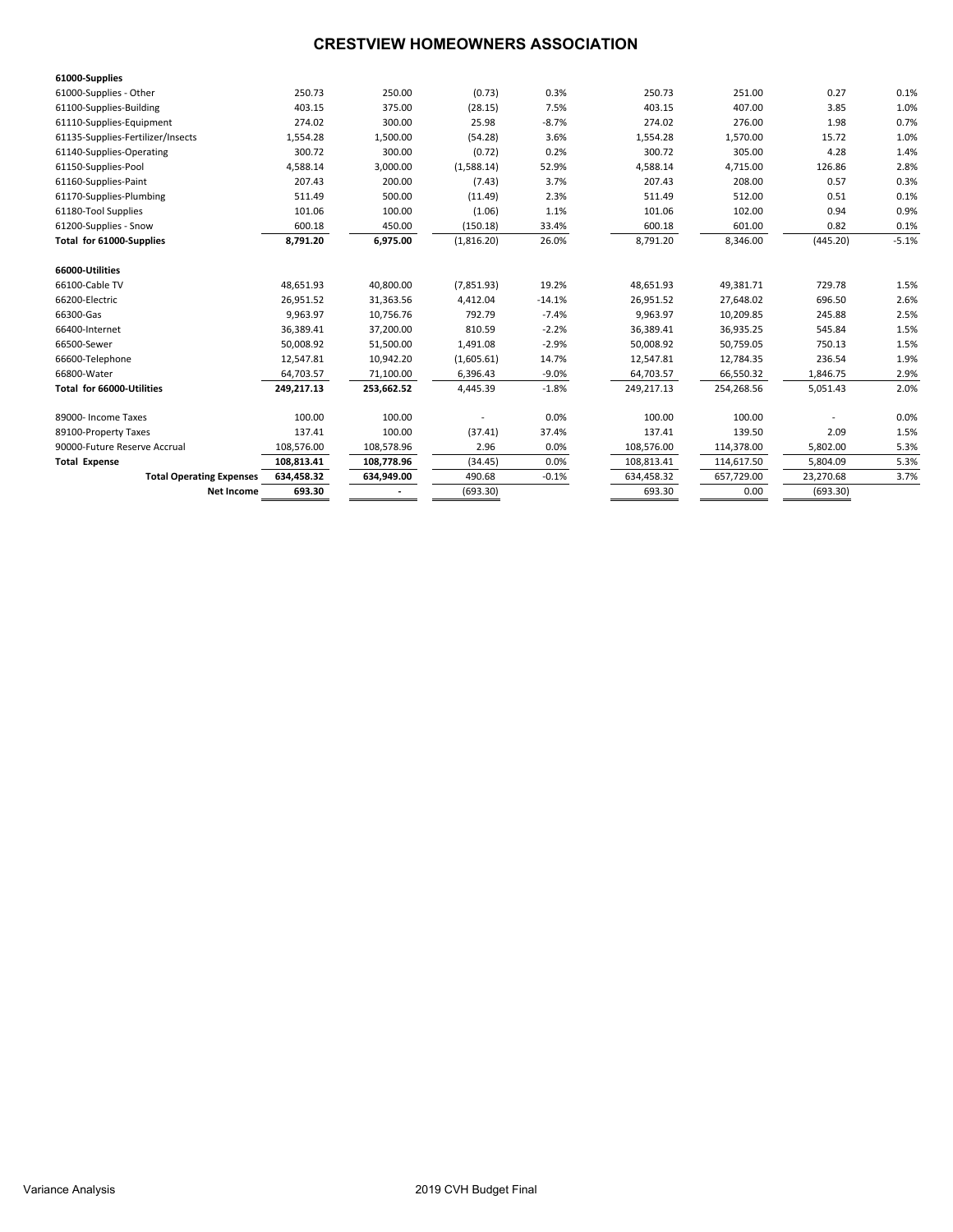## **CRESTVIEW HOMEOWNERS ASSOCIATION**

| 61000-Supplies                    |            |            |            |          |            |            |           |         |
|-----------------------------------|------------|------------|------------|----------|------------|------------|-----------|---------|
| 61000-Supplies - Other            | 250.73     | 250.00     | (0.73)     | 0.3%     | 250.73     | 251.00     | 0.27      | 0.1%    |
| 61100-Supplies-Building           | 403.15     | 375.00     | (28.15)    | 7.5%     | 403.15     | 407.00     | 3.85      | 1.0%    |
| 61110-Supplies-Equipment          | 274.02     | 300.00     | 25.98      | $-8.7%$  | 274.02     | 276.00     | 1.98      | 0.7%    |
| 61135-Supplies-Fertilizer/Insects | 1,554.28   | 1,500.00   | (54.28)    | 3.6%     | 1,554.28   | 1,570.00   | 15.72     | 1.0%    |
| 61140-Supplies-Operating          | 300.72     | 300.00     | (0.72)     | 0.2%     | 300.72     | 305.00     | 4.28      | 1.4%    |
| 61150-Supplies-Pool               | 4,588.14   | 3,000.00   | (1,588.14) | 52.9%    | 4,588.14   | 4,715.00   | 126.86    | 2.8%    |
| 61160-Supplies-Paint              | 207.43     | 200.00     | (7.43)     | 3.7%     | 207.43     | 208.00     | 0.57      | 0.3%    |
| 61170-Supplies-Plumbing           | 511.49     | 500.00     | (11.49)    | 2.3%     | 511.49     | 512.00     | 0.51      | 0.1%    |
| 61180-Tool Supplies               | 101.06     | 100.00     | (1.06)     | 1.1%     | 101.06     | 102.00     | 0.94      | 0.9%    |
| 61200-Supplies - Snow             | 600.18     | 450.00     | (150.18)   | 33.4%    | 600.18     | 601.00     | 0.82      | 0.1%    |
| Total for 61000-Supplies          | 8,791.20   | 6,975.00   | (1,816.20) | 26.0%    | 8,791.20   | 8,346.00   | (445.20)  | $-5.1%$ |
| 66000-Utilities                   |            |            |            |          |            |            |           |         |
| 66100-Cable TV                    | 48,651.93  | 40,800.00  | (7,851.93) | 19.2%    | 48,651.93  | 49,381.71  | 729.78    | 1.5%    |
| 66200-Electric                    | 26,951.52  | 31,363.56  | 4,412.04   | $-14.1%$ | 26,951.52  | 27,648.02  | 696.50    | 2.6%    |
| 66300-Gas                         | 9,963.97   | 10,756.76  | 792.79     | $-7.4%$  | 9,963.97   | 10,209.85  | 245.88    | 2.5%    |
| 66400-Internet                    | 36,389.41  | 37,200.00  | 810.59     | $-2.2%$  | 36,389.41  | 36,935.25  | 545.84    | 1.5%    |
| 66500-Sewer                       | 50,008.92  | 51,500.00  | 1,491.08   | $-2.9%$  | 50,008.92  | 50,759.05  | 750.13    | 1.5%    |
| 66600-Telephone                   | 12.547.81  | 10,942.20  | (1,605.61) | 14.7%    | 12.547.81  | 12,784.35  | 236.54    | 1.9%    |
| 66800-Water                       | 64,703.57  | 71,100.00  | 6,396.43   | $-9.0%$  | 64,703.57  | 66,550.32  | 1,846.75  | 2.9%    |
| Total for 66000-Utilities         | 249,217.13 | 253,662.52 | 4,445.39   | $-1.8%$  | 249,217.13 | 254,268.56 | 5,051.43  | 2.0%    |
| 89000- Income Taxes               | 100.00     | 100.00     |            | 0.0%     | 100.00     | 100.00     |           | 0.0%    |
| 89100-Property Taxes              | 137.41     | 100.00     | (37.41)    | 37.4%    | 137.41     | 139.50     | 2.09      | 1.5%    |
| 90000-Future Reserve Accrual      | 108,576.00 | 108,578.96 | 2.96       | 0.0%     | 108,576.00 | 114,378.00 | 5,802.00  | 5.3%    |
| <b>Total Expense</b>              | 108,813.41 | 108.778.96 | (34.45)    | 0.0%     | 108,813.41 | 114,617.50 | 5.804.09  | 5.3%    |
| <b>Total Operating Expenses</b>   | 634,458.32 | 634,949.00 | 490.68     | $-0.1%$  | 634,458.32 | 657,729.00 | 23,270.68 | 3.7%    |
| <b>Net Income</b>                 | 693.30     |            | (693.30)   |          | 693.30     | 0.00       | (693.30)  |         |
|                                   |            |            |            |          |            |            |           |         |